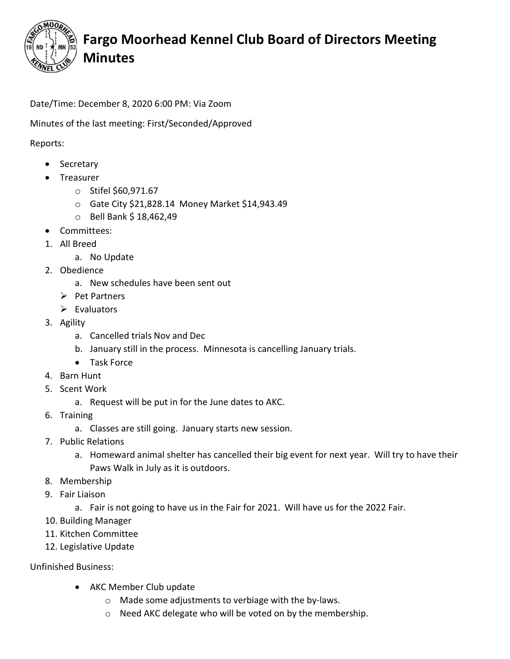

## Fargo Moorhead Kennel Club Board of Directors Meeting Minutes

Date/Time: December 8, 2020 6:00 PM: Via Zoom

Minutes of the last meeting: First/Seconded/Approved

Reports:

- Secretary
- Treasurer
	- o Stifel \$60,971.67
	- o Gate City \$21,828.14 Money Market \$14,943.49
	- $\circ$  Bell Bank \$ 18,462,49
- Committees:
- 1. All Breed
	- a. No Update
- 2. Obedience
	- a. New schedules have been sent out
	- $\triangleright$  Pet Partners
	- $\triangleright$  Evaluators
- 3. Agility
	- a. Cancelled trials Nov and Dec
	- b. January still in the process. Minnesota is cancelling January trials.
	- Task Force
- 4. Barn Hunt
- 5. Scent Work
	- a. Request will be put in for the June dates to AKC.
- 6. Training
	- a. Classes are still going. January starts new session.
- 7. Public Relations
	- a. Homeward animal shelter has cancelled their big event for next year. Will try to have their Paws Walk in July as it is outdoors.
- 8. Membership
- 9. Fair Liaison
	- a. Fair is not going to have us in the Fair for 2021. Will have us for the 2022 Fair.
- 10. Building Manager
- 11. Kitchen Committee
- 12. Legislative Update

Unfinished Business:

- AKC Member Club update
	- o Made some adjustments to verbiage with the by-laws.
	- o Need AKC delegate who will be voted on by the membership.